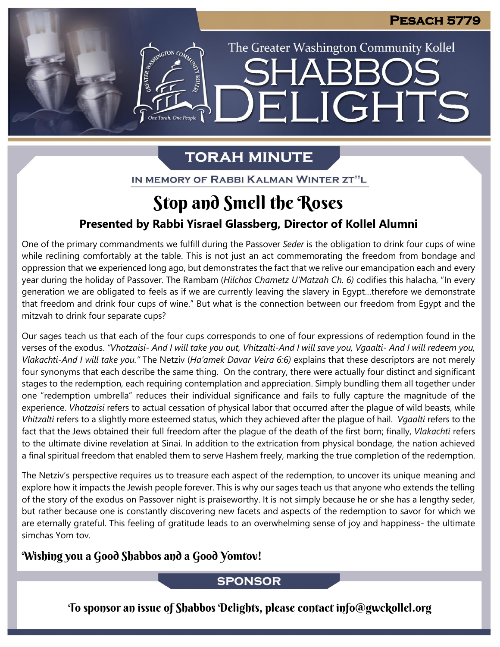The Greater Washington Community Kollel

LIGHTS

## **TORAH MINUTE**

FI

EMERGION CO

IN MEMORY OF RABBI KALMAN WINTER ZT"L

# Stop and Smell the Roses

## **Presented by Rabbi Yisrael Glassberg, Director of Kollel Alumni**

One of the primary commandments we fulfill during the Passover *Seder* is the obligation to drink four cups of wine while reclining comfortably at the table. This is not just an act commemorating the freedom from bondage and oppression that we experienced long ago, but demonstrates the fact that we relive our emancipation each and every year during the holiday of Passover. The Rambam (*Hilchos Chametz U'Matzah Ch. 6)* codifies this halacha, "In every generation we are obligated to feels as if we are currently leaving the slavery in Egypt…therefore we demonstrate that freedom and drink four cups of wine." But what is the connection between our freedom from Egypt and the mitzvah to drink four separate cups?

Our sages teach us that each of the four cups corresponds to one of four expressions of redemption found in the verses of the exodus. "Vhotzaisi- And I will take you out, Vhitzalti-And I will save you, Vgaalti- And I will redeem you, *Vlakachti-And I will take you."* The Netziv (*Ha'amek Davar Veira 6:6)* explains that these descriptors are not merely four synonyms that each describe the same thing. On the contrary, there were actually four distinct and significant stages to the redemption, each requiring contemplation and appreciation. Simply bundling them all together under one "redemption umbrella" reduces their individual significance and fails to fully capture the magnitude of the experience. *Vhotzaisi* refers to actual cessation of physical labor that occurred after the plague of wild beasts, while *Vhitzalti* refers to a slightly more esteemed status, which they achieved after the plague of hail. *Vgaalti* refers to the fact that the Jews obtained their full freedom after the plague of the death of the first born; finally, *Vlakachti* refers to the ultimate divine revelation at Sinai. In addition to the extrication from physical bondage, the nation achieved a final spiritual freedom that enabled them to serve Hashem freely, marking the true completion of the redemption.

The Netziv's perspective requires us to treasure each aspect of the redemption, to uncover its unique meaning and explore how it impacts the Jewish people forever. This is why our sages teach us that anyone who extends the telling of the story of the exodus on Passover night is praiseworthy. It is not simply because he or she has a lengthy seder, but rather because one is constantly discovering new facets and aspects of the redemption to savor for which we are eternally grateful. This feeling of gratitude leads to an overwhelming sense of joy and happiness- the ultimate simchas Yom tov.

## Wishing you a Good Shabbos and a Good Yomtov!

## **SPONSOR**

To sponsor an issue of Shabbos Delights, please contact info@gwckollel.org